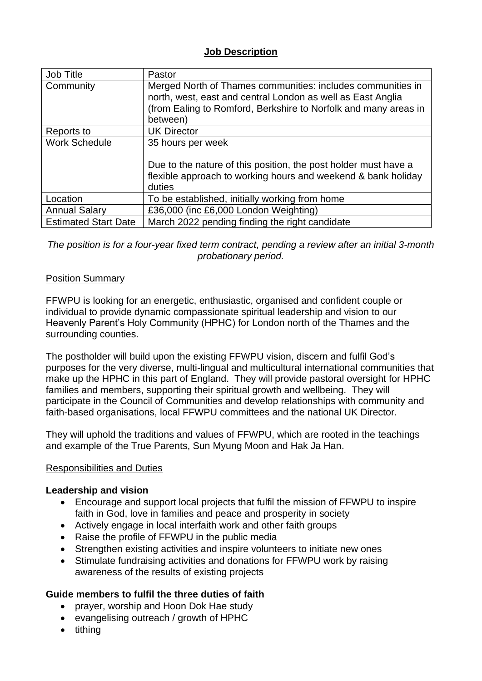### **Job Description**

| Job Title                   | Pastor                                                                                                                                                                                                    |
|-----------------------------|-----------------------------------------------------------------------------------------------------------------------------------------------------------------------------------------------------------|
| Community                   | Merged North of Thames communities: includes communities in<br>north, west, east and central London as well as East Anglia<br>(from Ealing to Romford, Berkshire to Norfolk and many areas in<br>between) |
| Reports to                  | <b>UK Director</b>                                                                                                                                                                                        |
| <b>Work Schedule</b>        | 35 hours per week                                                                                                                                                                                         |
|                             | Due to the nature of this position, the post holder must have a<br>flexible approach to working hours and weekend & bank holiday<br>duties                                                                |
| Location                    | To be established, initially working from home                                                                                                                                                            |
| <b>Annual Salary</b>        | £36,000 (inc £6,000 London Weighting)                                                                                                                                                                     |
| <b>Estimated Start Date</b> | March 2022 pending finding the right candidate                                                                                                                                                            |

*The position is for a four-year fixed term contract, pending a review after an initial 3-month probationary period.*

### Position Summary

FFWPU is looking for an energetic, enthusiastic, organised and confident couple or individual to provide dynamic compassionate spiritual leadership and vision to our Heavenly Parent's Holy Community (HPHC) for London north of the Thames and the surrounding counties.

The postholder will build upon the existing FFWPU vision, discern and fulfil God's purposes for the very diverse, multi-lingual and multicultural international communities that make up the HPHC in this part of England. They will provide pastoral oversight for HPHC families and members, supporting their spiritual growth and wellbeing. They will participate in the Council of Communities and develop relationships with community and faith-based organisations, local FFWPU committees and the national UK Director.

They will uphold the traditions and values of FFWPU, which are rooted in the teachings and example of the True Parents, Sun Myung Moon and Hak Ja Han.

#### Responsibilities and Duties

#### **Leadership and vision**

- Encourage and support local projects that fulfil the mission of FFWPU to inspire faith in God, love in families and peace and prosperity in society
- Actively engage in local interfaith work and other faith groups
- Raise the profile of FFWPU in the public media
- Strengthen existing activities and inspire volunteers to initiate new ones
- Stimulate fundraising activities and donations for FFWPU work by raising awareness of the results of existing projects

# **Guide members to fulfil the three duties of faith**

- prayer, worship and Hoon Dok Hae study
- evangelising outreach / growth of HPHC
- tithing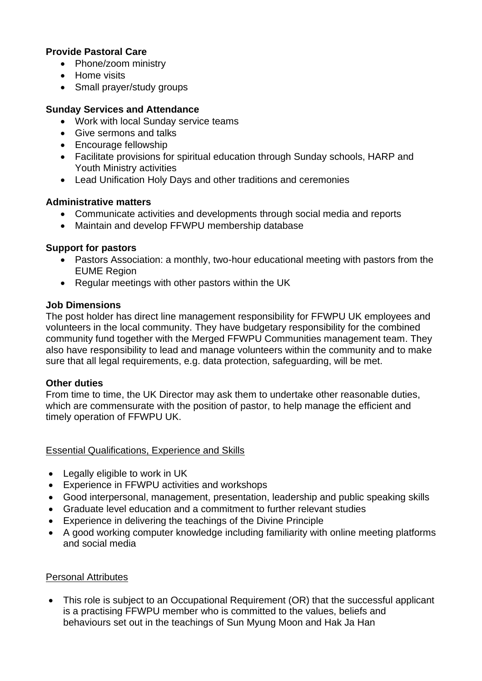### **Provide Pastoral Care**

- Phone/zoom ministry
- Home visits
- Small prayer/study groups

#### **Sunday Services and Attendance**

- Work with local Sunday service teams
- Give sermons and talks
- Encourage fellowship
- Facilitate provisions for spiritual education through Sunday schools, HARP and Youth Ministry activities
- Lead Unification Holy Days and other traditions and ceremonies

### **Administrative matters**

- Communicate activities and developments through social media and reports
- Maintain and develop FFWPU membership database

### **Support for pastors**

- Pastors Association: a monthly, two-hour educational meeting with pastors from the EUME Region
- Regular meetings with other pastors within the UK

### **Job Dimensions**

The post holder has direct line management responsibility for FFWPU UK employees and volunteers in the local community. They have budgetary responsibility for the combined community fund together with the Merged FFWPU Communities management team. They also have responsibility to lead and manage volunteers within the community and to make sure that all legal requirements, e.g. data protection, safeguarding, will be met.

#### **Other duties**

From time to time, the UK Director may ask them to undertake other reasonable duties, which are commensurate with the position of pastor, to help manage the efficient and timely operation of FFWPU UK.

# Essential Qualifications, Experience and Skills

- Legally eligible to work in UK
- Experience in FFWPU activities and workshops
- Good interpersonal, management, presentation, leadership and public speaking skills
- Graduate level education and a commitment to further relevant studies
- Experience in delivering the teachings of the Divine Principle
- A good working computer knowledge including familiarity with online meeting platforms and social media

# Personal Attributes

• This role is subject to an Occupational Requirement (OR) that the successful applicant is a practising FFWPU member who is committed to the values, beliefs and behaviours set out in the teachings of Sun Myung Moon and Hak Ja Han